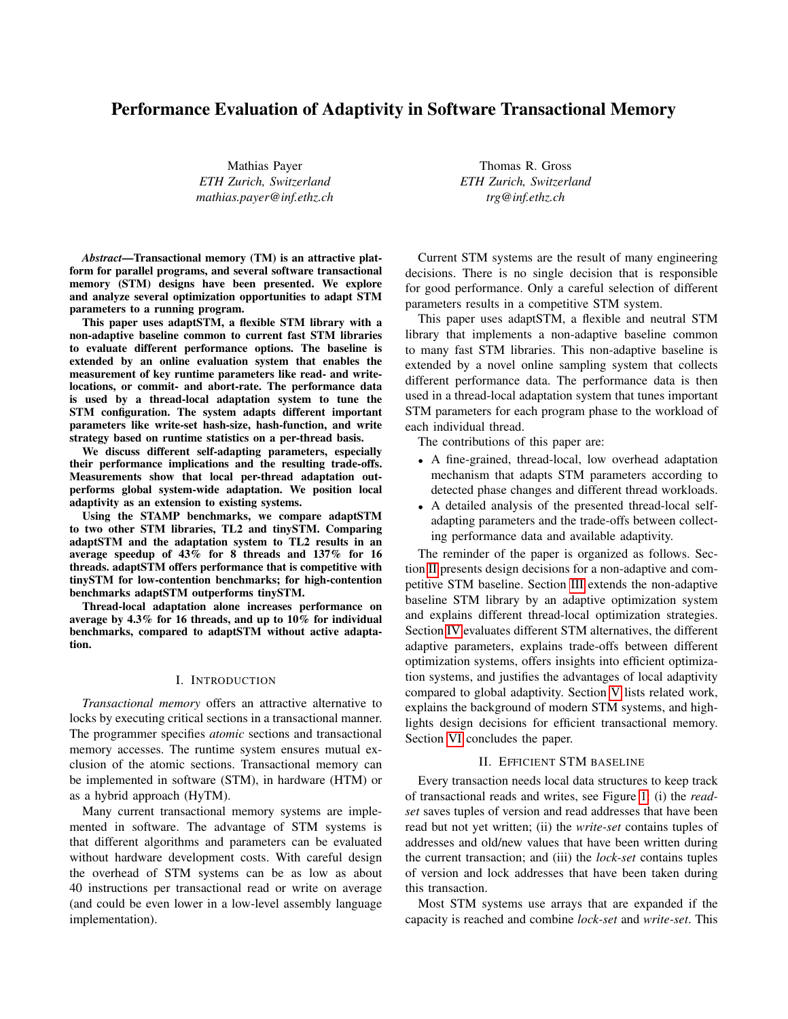# Performance Evaluation of Adaptivity in Software Transactional Memory

Mathias Payer *ETH Zurich, Switzerland mathias.payer@inf.ethz.ch*

*Abstract*—Transactional memory (TM) is an attractive platform for parallel programs, and several software transactional memory (STM) designs have been presented. We explore and analyze several optimization opportunities to adapt STM parameters to a running program.

This paper uses adaptSTM, a flexible STM library with a non-adaptive baseline common to current fast STM libraries to evaluate different performance options. The baseline is extended by an online evaluation system that enables the measurement of key runtime parameters like read- and writelocations, or commit- and abort-rate. The performance data is used by a thread-local adaptation system to tune the STM configuration. The system adapts different important parameters like write-set hash-size, hash-function, and write strategy based on runtime statistics on a per-thread basis.

We discuss different self-adapting parameters, especially their performance implications and the resulting trade-offs. Measurements show that local per-thread adaptation outperforms global system-wide adaptation. We position local adaptivity as an extension to existing systems.

Using the STAMP benchmarks, we compare adaptSTM to two other STM libraries, TL2 and tinySTM. Comparing adaptSTM and the adaptation system to TL2 results in an average speedup of 43% for 8 threads and 137% for 16 threads. adaptSTM offers performance that is competitive with tinySTM for low-contention benchmarks; for high-contention benchmarks adaptSTM outperforms tinySTM.

Thread-local adaptation alone increases performance on average by 4.3% for 16 threads, and up to 10% for individual benchmarks, compared to adaptSTM without active adaptation.

## I. INTRODUCTION

*Transactional memory* offers an attractive alternative to locks by executing critical sections in a transactional manner. The programmer specifies *atomic* sections and transactional memory accesses. The runtime system ensures mutual exclusion of the atomic sections. Transactional memory can be implemented in software (STM), in hardware (HTM) or as a hybrid approach (HyTM).

Many current transactional memory systems are implemented in software. The advantage of STM systems is that different algorithms and parameters can be evaluated without hardware development costs. With careful design the overhead of STM systems can be as low as about 40 instructions per transactional read or write on average (and could be even lower in a low-level assembly language implementation).

Thomas R. Gross *ETH Zurich, Switzerland trg@inf.ethz.ch*

Current STM systems are the result of many engineering decisions. There is no single decision that is responsible for good performance. Only a careful selection of different parameters results in a competitive STM system.

This paper uses adaptSTM, a flexible and neutral STM library that implements a non-adaptive baseline common to many fast STM libraries. This non-adaptive baseline is extended by a novel online sampling system that collects different performance data. The performance data is then used in a thread-local adaptation system that tunes important STM parameters for each program phase to the workload of each individual thread.

The contributions of this paper are:

- A fine-grained, thread-local, low overhead adaptation mechanism that adapts STM parameters according to detected phase changes and different thread workloads.
- A detailed analysis of the presented thread-local selfadapting parameters and the trade-offs between collecting performance data and available adaptivity.

The reminder of the paper is organized as follows. Section [II](#page-0-0) presents design decisions for a non-adaptive and competitive STM baseline. Section [III](#page-1-0) extends the non-adaptive baseline STM library by an adaptive optimization system and explains different thread-local optimization strategies. Section [IV](#page-3-0) evaluates different STM alternatives, the different adaptive parameters, explains trade-offs between different optimization systems, offers insights into efficient optimization systems, and justifies the advantages of local adaptivity compared to global adaptivity. Section [V](#page-7-0) lists related work, explains the background of modern STM systems, and highlights design decisions for efficient transactional memory. Section [VI](#page-8-0) concludes the paper.

#### II. EFFICIENT STM BASELINE

<span id="page-0-0"></span>Every transaction needs local data structures to keep track of transactional reads and writes, see Figure [1:](#page-1-1) (i) the *readset* saves tuples of version and read addresses that have been read but not yet written; (ii) the *write-set* contains tuples of addresses and old/new values that have been written during the current transaction; and (iii) the *lock-set* contains tuples of version and lock addresses that have been taken during this transaction.

Most STM systems use arrays that are expanded if the capacity is reached and combine *lock-set* and *write-set*. This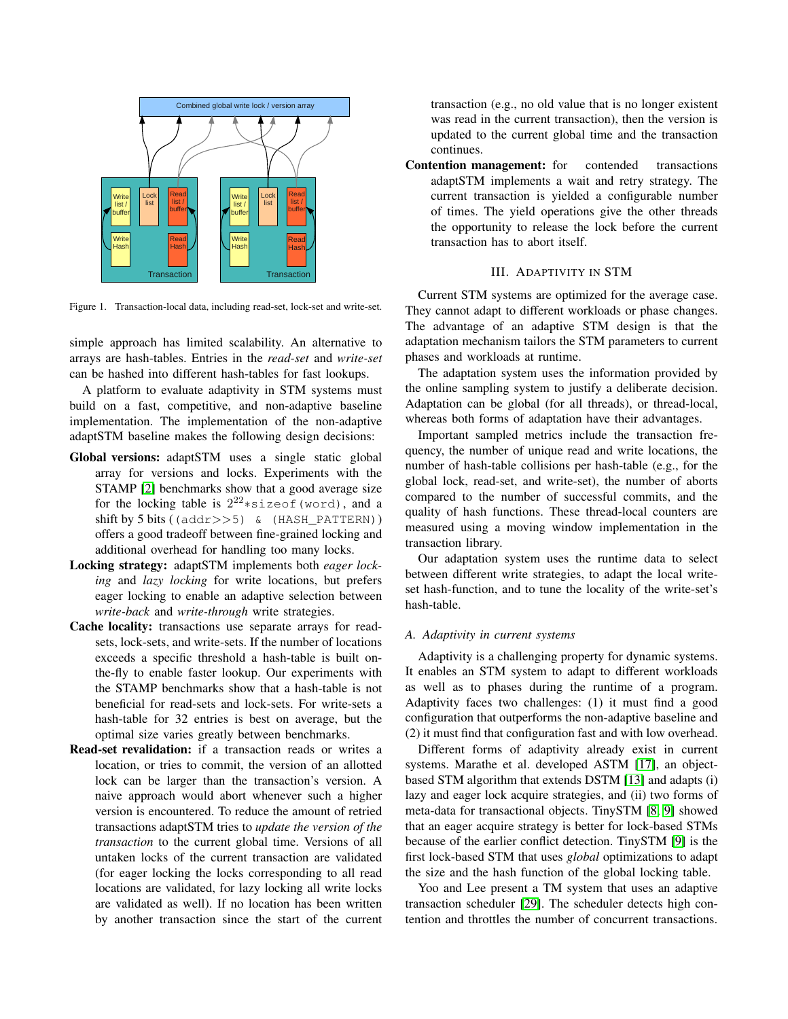

<span id="page-1-1"></span>Figure 1. Transaction-local data, including read-set, lock-set and write-set.

simple approach has limited scalability. An alternative to arrays are hash-tables. Entries in the *read-set* and *write-set* can be hashed into different hash-tables for fast lookups.

A platform to evaluate adaptivity in STM systems must build on a fast, competitive, and non-adaptive baseline implementation. The implementation of the non-adaptive adaptSTM baseline makes the following design decisions:

- Global versions: adaptSTM uses a single static global array for versions and locks. Experiments with the STAMP [\[2\]](#page-9-0) benchmarks show that a good average size for the locking table is  $2^{22}$ \*sizeof(word), and a shift by 5 bits (( $addr>>5$ ) & (HASH\_PATTERN)) offers a good tradeoff between fine-grained locking and additional overhead for handling too many locks.
- Locking strategy: adaptSTM implements both *eager locking* and *lazy locking* for write locations, but prefers eager locking to enable an adaptive selection between *write-back* and *write-through* write strategies.
- Cache locality: transactions use separate arrays for readsets, lock-sets, and write-sets. If the number of locations exceeds a specific threshold a hash-table is built onthe-fly to enable faster lookup. Our experiments with the STAMP benchmarks show that a hash-table is not beneficial for read-sets and lock-sets. For write-sets a hash-table for 32 entries is best on average, but the optimal size varies greatly between benchmarks.
- Read-set revalidation: if a transaction reads or writes a location, or tries to commit, the version of an allotted lock can be larger than the transaction's version. A naive approach would abort whenever such a higher version is encountered. To reduce the amount of retried transactions adaptSTM tries to *update the version of the transaction* to the current global time. Versions of all untaken locks of the current transaction are validated (for eager locking the locks corresponding to all read locations are validated, for lazy locking all write locks are validated as well). If no location has been written by another transaction since the start of the current

transaction (e.g., no old value that is no longer existent was read in the current transaction), then the version is updated to the current global time and the transaction continues.

Contention management: for contended transactions adaptSTM implements a wait and retry strategy. The current transaction is yielded a configurable number of times. The yield operations give the other threads the opportunity to release the lock before the current transaction has to abort itself.

#### III. ADAPTIVITY IN STM

<span id="page-1-0"></span>Current STM systems are optimized for the average case. They cannot adapt to different workloads or phase changes. The advantage of an adaptive STM design is that the adaptation mechanism tailors the STM parameters to current phases and workloads at runtime.

The adaptation system uses the information provided by the online sampling system to justify a deliberate decision. Adaptation can be global (for all threads), or thread-local, whereas both forms of adaptation have their advantages.

Important sampled metrics include the transaction frequency, the number of unique read and write locations, the number of hash-table collisions per hash-table (e.g., for the global lock, read-set, and write-set), the number of aborts compared to the number of successful commits, and the quality of hash functions. These thread-local counters are measured using a moving window implementation in the transaction library.

Our adaptation system uses the runtime data to select between different write strategies, to adapt the local writeset hash-function, and to tune the locality of the write-set's hash-table.

#### *A. Adaptivity in current systems*

Adaptivity is a challenging property for dynamic systems. It enables an STM system to adapt to different workloads as well as to phases during the runtime of a program. Adaptivity faces two challenges: (1) it must find a good configuration that outperforms the non-adaptive baseline and (2) it must find that configuration fast and with low overhead.

Different forms of adaptivity already exist in current systems. Marathe et al. developed ASTM [\[17\]](#page-9-1), an objectbased STM algorithm that extends DSTM [\[13\]](#page-9-2) and adapts (i) lazy and eager lock acquire strategies, and (ii) two forms of meta-data for transactional objects. TinySTM [\[8,](#page-9-3) [9\]](#page-9-4) showed that an eager acquire strategy is better for lock-based STMs because of the earlier conflict detection. TinySTM [\[9\]](#page-9-4) is the first lock-based STM that uses *global* optimizations to adapt the size and the hash function of the global locking table.

Yoo and Lee present a TM system that uses an adaptive transaction scheduler [\[29\]](#page-9-5). The scheduler detects high contention and throttles the number of concurrent transactions.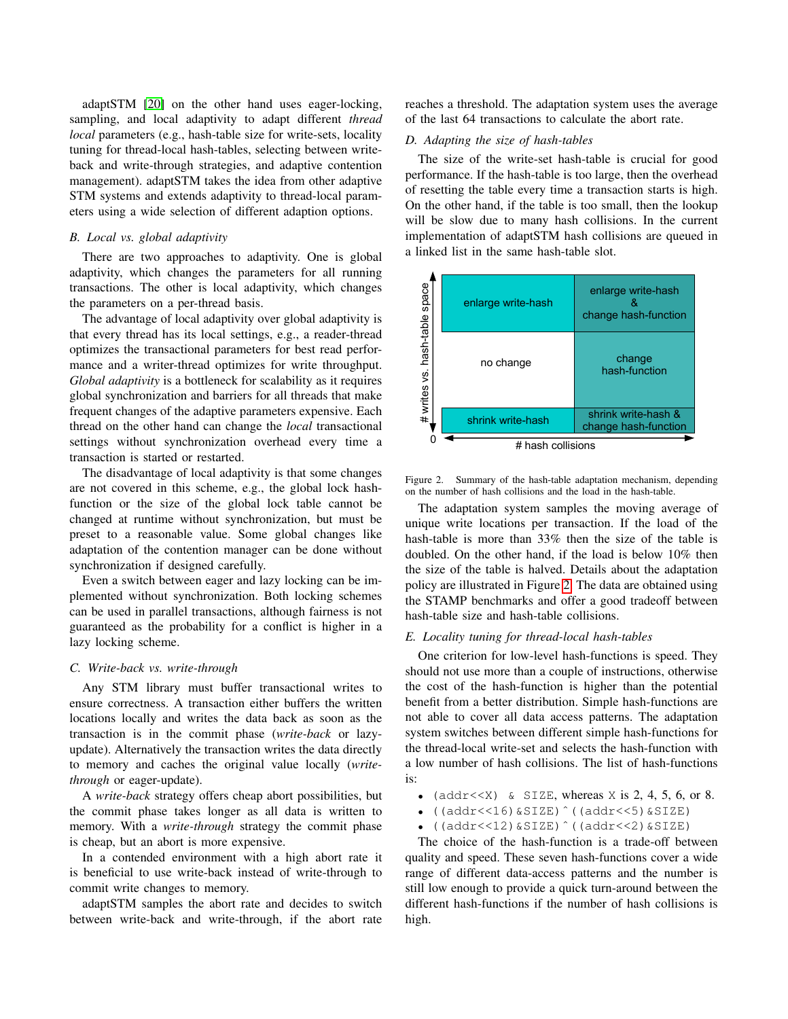adaptSTM [\[20\]](#page-9-6) on the other hand uses eager-locking, sampling, and local adaptivity to adapt different *thread local* parameters (e.g., hash-table size for write-sets, locality tuning for thread-local hash-tables, selecting between writeback and write-through strategies, and adaptive contention management). adaptSTM takes the idea from other adaptive STM systems and extends adaptivity to thread-local parameters using a wide selection of different adaption options.

## *B. Local vs. global adaptivity*

There are two approaches to adaptivity. One is global adaptivity, which changes the parameters for all running transactions. The other is local adaptivity, which changes the parameters on a per-thread basis.

The advantage of local adaptivity over global adaptivity is that every thread has its local settings, e.g., a reader-thread optimizes the transactional parameters for best read performance and a writer-thread optimizes for write throughput. *Global adaptivity* is a bottleneck for scalability as it requires global synchronization and barriers for all threads that make frequent changes of the adaptive parameters expensive. Each thread on the other hand can change the *local* transactional settings without synchronization overhead every time a transaction is started or restarted.

The disadvantage of local adaptivity is that some changes are not covered in this scheme, e.g., the global lock hashfunction or the size of the global lock table cannot be changed at runtime without synchronization, but must be preset to a reasonable value. Some global changes like adaptation of the contention manager can be done without synchronization if designed carefully.

Even a switch between eager and lazy locking can be implemented without synchronization. Both locking schemes can be used in parallel transactions, although fairness is not guaranteed as the probability for a conflict is higher in a lazy locking scheme.

## *C. Write-back vs. write-through*

Any STM library must buffer transactional writes to ensure correctness. A transaction either buffers the written locations locally and writes the data back as soon as the transaction is in the commit phase (*write-back* or lazyupdate). Alternatively the transaction writes the data directly to memory and caches the original value locally (*writethrough* or eager-update).

A *write-back* strategy offers cheap abort possibilities, but the commit phase takes longer as all data is written to memory. With a *write-through* strategy the commit phase is cheap, but an abort is more expensive.

In a contended environment with a high abort rate it is beneficial to use write-back instead of write-through to commit write changes to memory.

adaptSTM samples the abort rate and decides to switch between write-back and write-through, if the abort rate reaches a threshold. The adaptation system uses the average of the last 64 transactions to calculate the abort rate.

# *D. Adapting the size of hash-tables*

The size of the write-set hash-table is crucial for good performance. If the hash-table is too large, then the overhead of resetting the table every time a transaction starts is high. On the other hand, if the table is too small, then the lookup will be slow due to many hash collisions. In the current implementation of adaptSTM hash collisions are queued in a linked list in the same hash-table slot.



<span id="page-2-0"></span>Figure 2. Summary of the hash-table adaptation mechanism, depending on the number of hash collisions and the load in the hash-table.

The adaptation system samples the moving average of unique write locations per transaction. If the load of the hash-table is more than 33% then the size of the table is doubled. On the other hand, if the load is below 10% then the size of the table is halved. Details about the adaptation policy are illustrated in Figure [2.](#page-2-0) The data are obtained using the STAMP benchmarks and offer a good tradeoff between hash-table size and hash-table collisions.

# *E. Locality tuning for thread-local hash-tables*

One criterion for low-level hash-functions is speed. They should not use more than a couple of instructions, otherwise the cost of the hash-function is higher than the potential benefit from a better distribution. Simple hash-functions are not able to cover all data access patterns. The adaptation system switches between different simple hash-functions for the thread-local write-set and selects the hash-function with a low number of hash collisions. The list of hash-functions is:

- ( $addr<) & SIZE, whereas X is 2, 4, 5, 6, or 8.$
- ((addr<<16)&SIZE)ˆ((addr<<5)&SIZE)
- $\bullet$  ((addr << 12) & SIZE)^ ((addr < < 2) & SIZE)

The choice of the hash-function is a trade-off between quality and speed. These seven hash-functions cover a wide range of different data-access patterns and the number is still low enough to provide a quick turn-around between the different hash-functions if the number of hash collisions is high.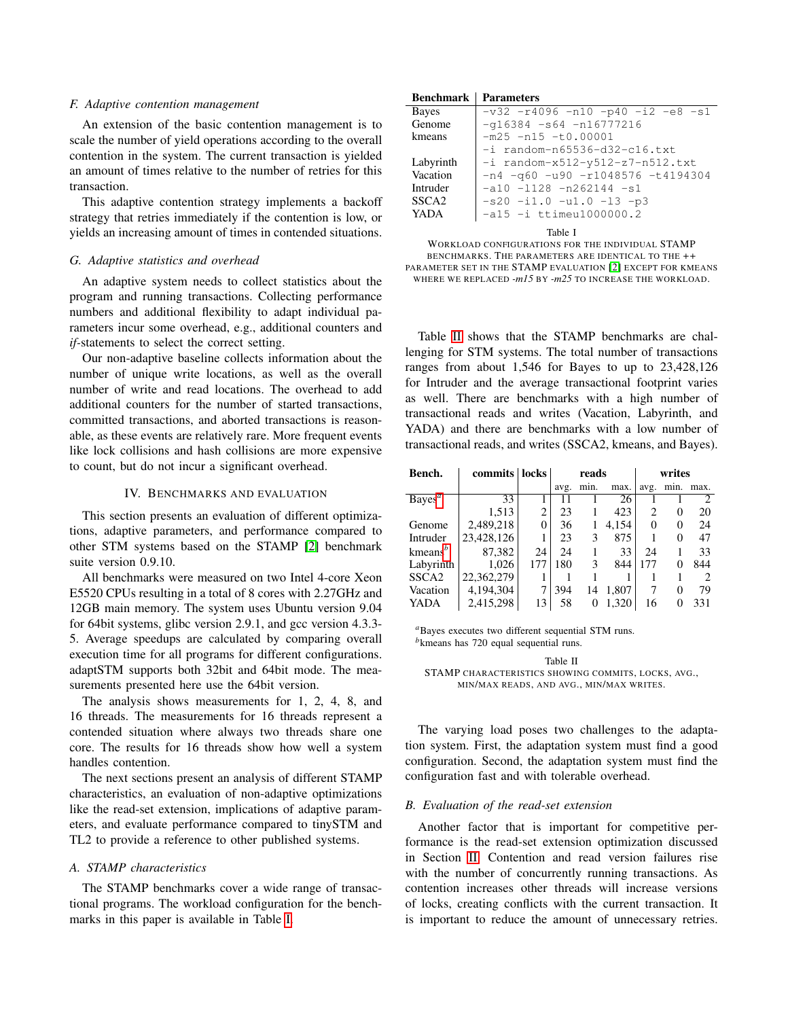#### *F. Adaptive contention management*

An extension of the basic contention management is to scale the number of yield operations according to the overall contention in the system. The current transaction is yielded an amount of times relative to the number of retries for this transaction.

This adaptive contention strategy implements a backoff strategy that retries immediately if the contention is low, or yields an increasing amount of times in contended situations.

### *G. Adaptive statistics and overhead*

An adaptive system needs to collect statistics about the program and running transactions. Collecting performance numbers and additional flexibility to adapt individual parameters incur some overhead, e.g., additional counters and *if-*statements to select the correct setting.

Our non-adaptive baseline collects information about the number of unique write locations, as well as the overall number of write and read locations. The overhead to add additional counters for the number of started transactions, committed transactions, and aborted transactions is reasonable, as these events are relatively rare. More frequent events like lock collisions and hash collisions are more expensive to count, but do not incur a significant overhead.

#### IV. BENCHMARKS AND EVALUATION

<span id="page-3-0"></span>This section presents an evaluation of different optimizations, adaptive parameters, and performance compared to other STM systems based on the STAMP [\[2\]](#page-9-0) benchmark suite version 0.9.10.

All benchmarks were measured on two Intel 4-core Xeon E5520 CPUs resulting in a total of 8 cores with 2.27GHz and 12GB main memory. The system uses Ubuntu version 9.04 for 64bit systems, glibc version 2.9.1, and gcc version 4.3.3- 5. Average speedups are calculated by comparing overall execution time for all programs for different configurations. adaptSTM supports both 32bit and 64bit mode. The measurements presented here use the 64bit version.

The analysis shows measurements for 1, 2, 4, 8, and 16 threads. The measurements for 16 threads represent a contended situation where always two threads share one core. The results for 16 threads show how well a system handles contention.

The next sections present an analysis of different STAMP characteristics, an evaluation of non-adaptive optimizations like the read-set extension, implications of adaptive parameters, and evaluate performance compared to tinySTM and TL2 to provide a reference to other published systems.

## *A. STAMP characteristics*

The STAMP benchmarks cover a wide range of transactional programs. The workload configuration for the benchmarks in this paper is available in Table [I.](#page-3-1)

| Benchmark         | <b>Parameters</b>                         |
|-------------------|-------------------------------------------|
| <b>Bayes</b>      | $-v32 - r4096 - n10 - p40 - i2 - e8 - s1$ |
| Genome            | $-q16384 - s64 - n16777216$               |
| kmeans            | $-m25 - m15 - t0.00001$                   |
|                   | $-i$ random-n65536-d32-c16.txt            |
| Labyrinth         | $-i$ random-x512-y512-z7-n512.txt         |
| Vacation          | $-n4 - q60 - u90 - r1048576 - t4194304$   |
| Intruder          | $-a10 -1128 - n262144 - s1$               |
| SSC <sub>A2</sub> | $-s20 - i1.0 - u1.0 - 13 - p3$            |
| YADA              | $-a15 -i$ ttimeu1000000.2                 |

Table I

<span id="page-3-1"></span>

Table [II](#page-3-2) shows that the STAMP benchmarks are challenging for STM systems. The total number of transactions ranges from about 1,546 for Bayes to up to 23,428,126 for Intruder and the average transactional footprint varies as well. There are benchmarks with a high number of transactional reads and writes (Vacation, Labyrinth, and YADA) and there are benchmarks with a low number of transactional reads, and writes (SSCA2, kmeans, and Bayes).

| Bench.                              | commits   locks |                | reads |      |       | writes   |          |               |
|-------------------------------------|-----------------|----------------|-------|------|-------|----------|----------|---------------|
|                                     |                 |                | avg.  | min. | max.  | avg.     | min.     | max.          |
| $Bayes^a$                           | 33              |                |       |      | 26    |          |          |               |
|                                     | 1,513           | $\overline{c}$ | 23    |      | 423   | 2        | 0        | 20            |
| Genome                              | 2,489,218       | $\Omega$       | 36    | 1    | 4,154 | $\theta$ | 0        | 24            |
| Intruder                            | 23,428,126      |                | 23    | 3    | 875   |          | 0        | 47            |
| $k$ means <sup><math>b</math></sup> | 87,382          | 24             | 24    |      | 33    | 24       |          | 33            |
| Labyrinth                           | 1.026           | 177            | 180   | ٩    | 844   | 177      | 0        | 844           |
| SSCA <sub>2</sub>                   | 22,362,279      |                |       |      |       |          |          | $\mathcal{L}$ |
| Vacation                            | 4,194,304       | 7              | 394   | 14   | 1,807 | 7        | 0        | 79            |
| <b>YADA</b>                         | 2,415,298       | 13             | 58    | 0    | 1,320 | 16       | $\theta$ | 331           |

<span id="page-3-4"></span><span id="page-3-3"></span>*<sup>a</sup>*Bayes executes two different sequential STM runs. *<sup>b</sup>*kmeans has 720 equal sequential runs.

<span id="page-3-2"></span>Table II STAMP CHARACTERISTICS SHOWING COMMITS, LOCKS, AVG., MIN/MAX READS, AND AVG., MIN/MAX WRITES.

The varying load poses two challenges to the adaptation system. First, the adaptation system must find a good configuration. Second, the adaptation system must find the configuration fast and with tolerable overhead.

#### *B. Evaluation of the read-set extension*

Another factor that is important for competitive performance is the read-set extension optimization discussed in Section [II.](#page-1-1) Contention and read version failures rise with the number of concurrently running transactions. As contention increases other threads will increase versions of locks, creating conflicts with the current transaction. It is important to reduce the amount of unnecessary retries.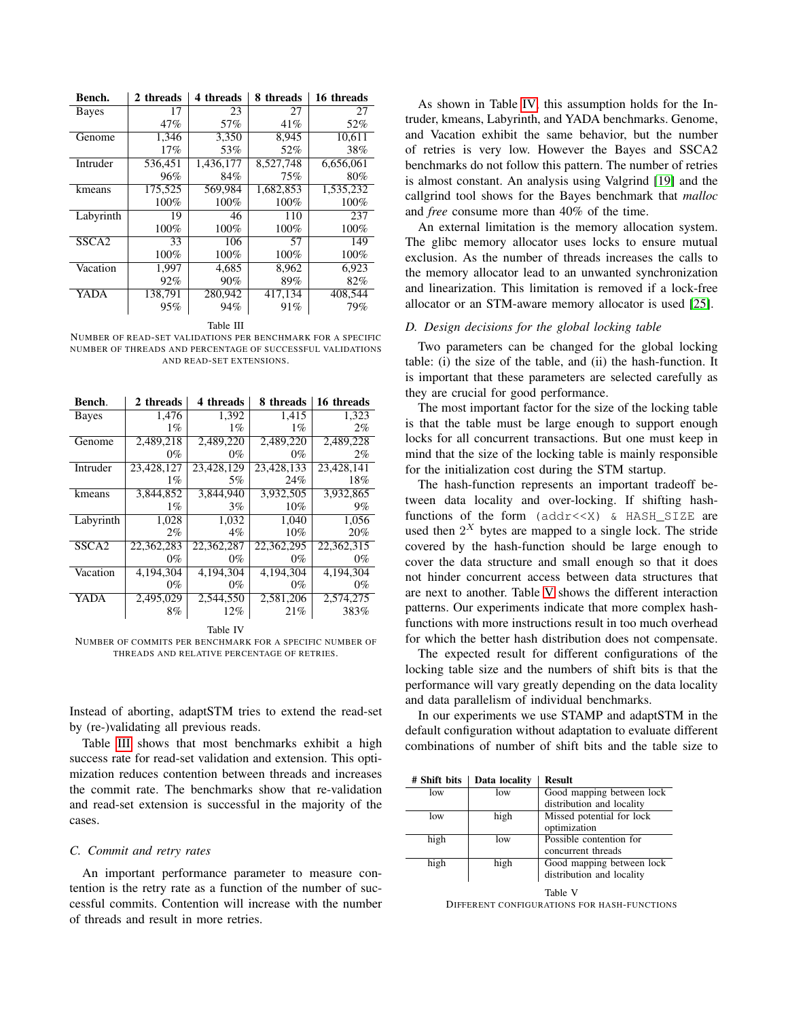| Bench.            | 2 threads | 4 threads | 8 threads | 16 threads |
|-------------------|-----------|-----------|-----------|------------|
| <b>Bayes</b>      | 17        | 23        | 27        | 27         |
|                   | 47%       | 57%       | 41%       | 52%        |
| Genome            | 1,346     | 3,350     | 8,945     | 10,611     |
|                   | 17%       | 53%       | 52%       | 38%        |
| Intruder          | 536,451   | 1,436,177 | 8,527,748 | 6,656,061  |
|                   | 96%       | 84%       | 75%       | 80%        |
| kmeans            | 175,525   | 569.984   | 1,682,853 | 1,535,232  |
|                   | 100%      | 100%      | 100%      | 100%       |
| Labyrinth         | 19        | 46        | 110       | 237        |
|                   | 100%      | 100%      | 100%      | 100%       |
| SSCA <sub>2</sub> | 33        | 106       | 57        | 149        |
|                   | 100%      | 100%      | 100%      | 100%       |
| Vacation          | 1,997     | 4,685     | 8,962     | 6.923      |
|                   | 92%       | 90%       | 89%       | 82%        |
| YADA              | 138.791   | 280,942   | 417.134   | 408,544    |
|                   | 95%       | 94%       | 91%       | 79%        |

Table III

<span id="page-4-0"></span>NUMBER OF READ-SET VALIDATIONS PER BENCHMARK FOR A SPECIFIC NUMBER OF THREADS AND PERCENTAGE OF SUCCESSFUL VALIDATIONS AND READ-SET EXTENSIONS.

| Bench.            | 2 threads  | 4 threads               | 8 threads               | 16 threads              |
|-------------------|------------|-------------------------|-------------------------|-------------------------|
| <b>Bayes</b>      | 1,476      | 1,392                   | 1,415                   | 1,323                   |
|                   | $1\%$      | $1\%$                   | $1\%$                   | $2\%$                   |
| Genome            | 2,489,218  | 2,489,220               | 2,489,220               | 2,489,228               |
|                   | $0\%$      | $0\%$                   | $0\%$                   | 2%                      |
| Intruder          | 23,428,127 | $\overline{23},428,129$ | $\overline{23,}428,133$ | $\overline{23,}428,141$ |
|                   | $1\%$      | 5%                      | 24%                     | 18%                     |
| kmeans            | 3,844,852  | 3.844.940               | 3,932,505               | 3,932,865               |
|                   | $1\%$      | $3\%$                   | 10%                     | $9\%$                   |
| Labyrinth         | 1,028      | 1,032                   | 1,040                   | 1,056                   |
|                   | $2\%$      | $4\%$                   | $10\%$                  | 20%                     |
| SSCA <sub>2</sub> | 22.362.283 | 22,362,287              | 22,362,295              | 22,362,315              |
|                   | $0\%$      | $0\%$                   | $0\%$                   | $0\%$                   |
| Vacation          | 4,194,304  | 4.194.304               | 4.194.304               | 4.194.304               |
|                   | $0\%$      | $0\%$                   | $0\%$                   | $0\%$                   |
| <b>YADA</b>       | 2,495,029  | 2.544,550               | 2.581.206               | 2.574.275               |
|                   | 8%         | 12%                     | 21%                     | 383%                    |
|                   |            |                         |                         |                         |

Table IV

<span id="page-4-1"></span>NUMBER OF COMMITS PER BENCHMARK FOR A SPECIFIC NUMBER OF THREADS AND RELATIVE PERCENTAGE OF RETRIES.

Instead of aborting, adaptSTM tries to extend the read-set by (re-)validating all previous reads.

Table [III](#page-4-0) shows that most benchmarks exhibit a high success rate for read-set validation and extension. This optimization reduces contention between threads and increases the commit rate. The benchmarks show that re-validation and read-set extension is successful in the majority of the cases.

### *C. Commit and retry rates*

An important performance parameter to measure contention is the retry rate as a function of the number of successful commits. Contention will increase with the number of threads and result in more retries.

As shown in Table [IV,](#page-4-1) this assumption holds for the Intruder, kmeans, Labyrinth, and YADA benchmarks. Genome, and Vacation exhibit the same behavior, but the number of retries is very low. However the Bayes and SSCA2 benchmarks do not follow this pattern. The number of retries is almost constant. An analysis using Valgrind [\[19\]](#page-9-7) and the callgrind tool shows for the Bayes benchmark that *malloc* and *free* consume more than 40% of the time.

An external limitation is the memory allocation system. The glibc memory allocator uses locks to ensure mutual exclusion. As the number of threads increases the calls to the memory allocator lead to an unwanted synchronization and linearization. This limitation is removed if a lock-free allocator or an STM-aware memory allocator is used [\[25\]](#page-9-8).

## *D. Design decisions for the global locking table*

Two parameters can be changed for the global locking table: (i) the size of the table, and (ii) the hash-function. It is important that these parameters are selected carefully as they are crucial for good performance.

The most important factor for the size of the locking table is that the table must be large enough to support enough locks for all concurrent transactions. But one must keep in mind that the size of the locking table is mainly responsible for the initialization cost during the STM startup.

The hash-function represents an important tradeoff between data locality and over-locking. If shifting hashfunctions of the form  $(addr< & HASH_SIZE are$ used then  $2^X$  bytes are mapped to a single lock. The stride covered by the hash-function should be large enough to cover the data structure and small enough so that it does not hinder concurrent access between data structures that are next to another. Table [V](#page-4-2) shows the different interaction patterns. Our experiments indicate that more complex hashfunctions with more instructions result in too much overhead for which the better hash distribution does not compensate.

The expected result for different configurations of the locking table size and the numbers of shift bits is that the performance will vary greatly depending on the data locality and data parallelism of individual benchmarks.

In our experiments we use STAMP and adaptSTM in the default configuration without adaptation to evaluate different combinations of number of shift bits and the table size to

 $\frac{1}{2}$  Shift bits Data locality Results Data locality Results Data locality Results Data locality Results Data locality Results Data locality Results Data locality Results Data locality Results Data locality Results Da

| # SHIIL DRS | рата юсашу | resuu                     |  |  |
|-------------|------------|---------------------------|--|--|
| low         | low        | Good mapping between lock |  |  |
|             |            | distribution and locality |  |  |
| low         | high       | Missed potential for lock |  |  |
|             |            | optimization              |  |  |
| high        | low        | Possible contention for   |  |  |
|             |            | concurrent threads        |  |  |
| high        | high       | Good mapping between lock |  |  |
|             |            | distribution and locality |  |  |
|             |            | Table V                   |  |  |
|             |            |                           |  |  |

<span id="page-4-2"></span>DIFFERENT CONFIGURATIONS FOR HASH-FUNCTIONS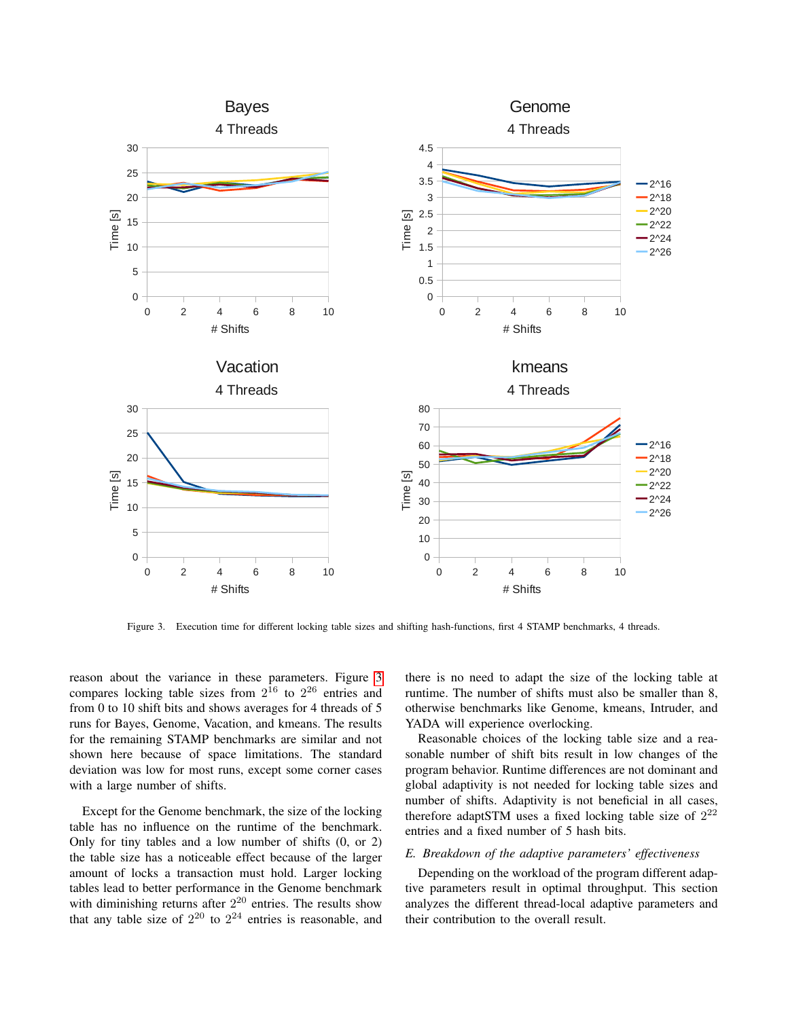

<span id="page-5-0"></span>Figure 3. Execution time for different locking table sizes and shifting hash-functions, first 4 STAMP benchmarks, 4 threads.

reason about the variance in these parameters. Figure [3](#page-5-0) compares locking table sizes from  $2^{16}$  to  $2^{26}$  entries and from 0 to 10 shift bits and shows averages for 4 threads of 5 runs for Bayes, Genome, Vacation, and kmeans. The results for the remaining STAMP benchmarks are similar and not shown here because of space limitations. The standard deviation was low for most runs, except some corner cases with a large number of shifts.

Except for the Genome benchmark, the size of the locking table has no influence on the runtime of the benchmark. Only for tiny tables and a low number of shifts (0, or 2) the table size has a noticeable effect because of the larger amount of locks a transaction must hold. Larger locking tables lead to better performance in the Genome benchmark with diminishing returns after  $2^{20}$  entries. The results show that any table size of  $2^{20}$  to  $2^{24}$  entries is reasonable, and there is no need to adapt the size of the locking table at runtime. The number of shifts must also be smaller than 8, otherwise benchmarks like Genome, kmeans, Intruder, and YADA will experience overlocking.

Reasonable choices of the locking table size and a reasonable number of shift bits result in low changes of the program behavior. Runtime differences are not dominant and global adaptivity is not needed for locking table sizes and number of shifts. Adaptivity is not beneficial in all cases, therefore adaptSTM uses a fixed locking table size of  $2^{22}$ entries and a fixed number of 5 hash bits.

#### *E. Breakdown of the adaptive parameters' effectiveness*

Depending on the workload of the program different adaptive parameters result in optimal throughput. This section analyzes the different thread-local adaptive parameters and their contribution to the overall result.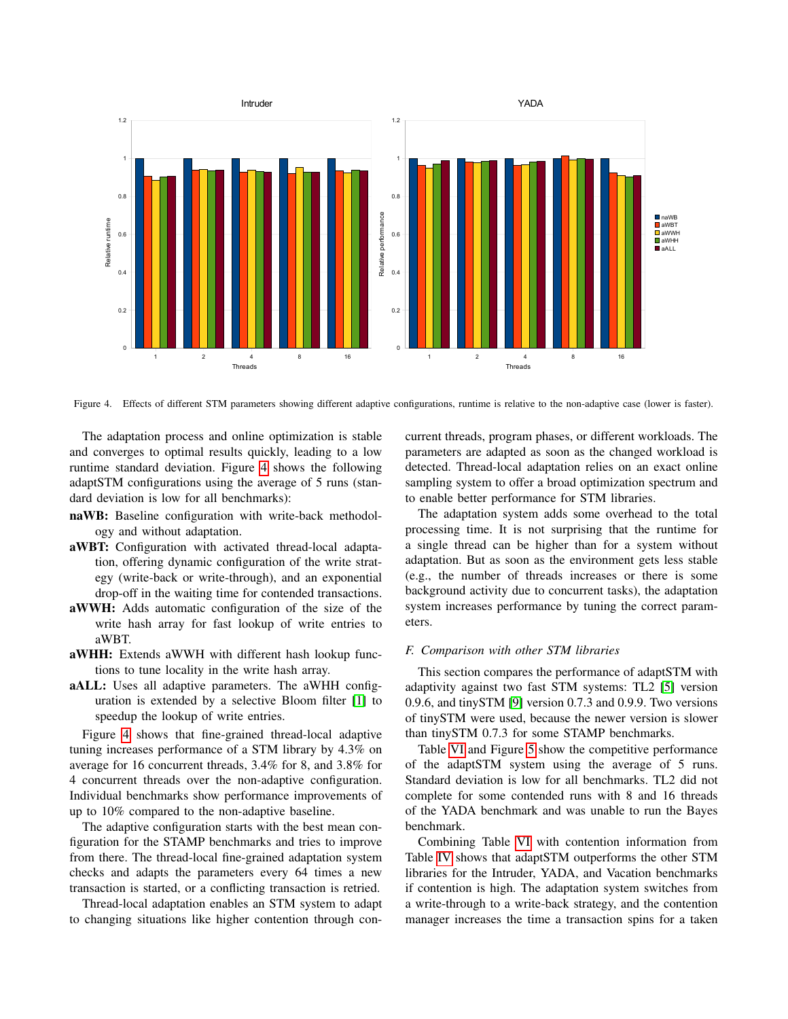

<span id="page-6-0"></span>Figure 4. Effects of different STM parameters showing different adaptive configurations, runtime is relative to the non-adaptive case (lower is faster).

The adaptation process and online optimization is stable and converges to optimal results quickly, leading to a low runtime standard deviation. Figure [4](#page-6-0) shows the following adaptSTM configurations using the average of 5 runs (standard deviation is low for all benchmarks):

- naWB: Baseline configuration with write-back methodology and without adaptation.
- aWBT: Configuration with activated thread-local adaptation, offering dynamic configuration of the write strategy (write-back or write-through), and an exponential drop-off in the waiting time for contended transactions.
- aWWH: Adds automatic configuration of the size of the write hash array for fast lookup of write entries to aWBT.
- aWHH: Extends aWWH with different hash lookup functions to tune locality in the write hash array.
- aALL: Uses all adaptive parameters. The aWHH configuration is extended by a selective Bloom filter [\[1\]](#page-9-9) to speedup the lookup of write entries.

Figure [4](#page-6-0) shows that fine-grained thread-local adaptive tuning increases performance of a STM library by 4.3% on average for 16 concurrent threads, 3.4% for 8, and 3.8% for 4 concurrent threads over the non-adaptive configuration. Individual benchmarks show performance improvements of up to 10% compared to the non-adaptive baseline.

The adaptive configuration starts with the best mean configuration for the STAMP benchmarks and tries to improve from there. The thread-local fine-grained adaptation system checks and adapts the parameters every 64 times a new transaction is started, or a conflicting transaction is retried.

Thread-local adaptation enables an STM system to adapt to changing situations like higher contention through concurrent threads, program phases, or different workloads. The parameters are adapted as soon as the changed workload is detected. Thread-local adaptation relies on an exact online sampling system to offer a broad optimization spectrum and to enable better performance for STM libraries.

The adaptation system adds some overhead to the total processing time. It is not surprising that the runtime for a single thread can be higher than for a system without adaptation. But as soon as the environment gets less stable (e.g., the number of threads increases or there is some background activity due to concurrent tasks), the adaptation system increases performance by tuning the correct parameters.

## *F. Comparison with other STM libraries*

This section compares the performance of adaptSTM with adaptivity against two fast STM systems: TL2 [\[5\]](#page-9-10) version 0.9.6, and tinySTM [\[9\]](#page-9-4) version 0.7.3 and 0.9.9. Two versions of tinySTM were used, because the newer version is slower than tinySTM 0.7.3 for some STAMP benchmarks.

Table [VI](#page-8-1) and Figure [5](#page-7-1) show the competitive performance of the adaptSTM system using the average of 5 runs. Standard deviation is low for all benchmarks. TL2 did not complete for some contended runs with 8 and 16 threads of the YADA benchmark and was unable to run the Bayes benchmark.

Combining Table [VI](#page-8-1) with contention information from Table [IV](#page-4-1) shows that adaptSTM outperforms the other STM libraries for the Intruder, YADA, and Vacation benchmarks if contention is high. The adaptation system switches from a write-through to a write-back strategy, and the contention manager increases the time a transaction spins for a taken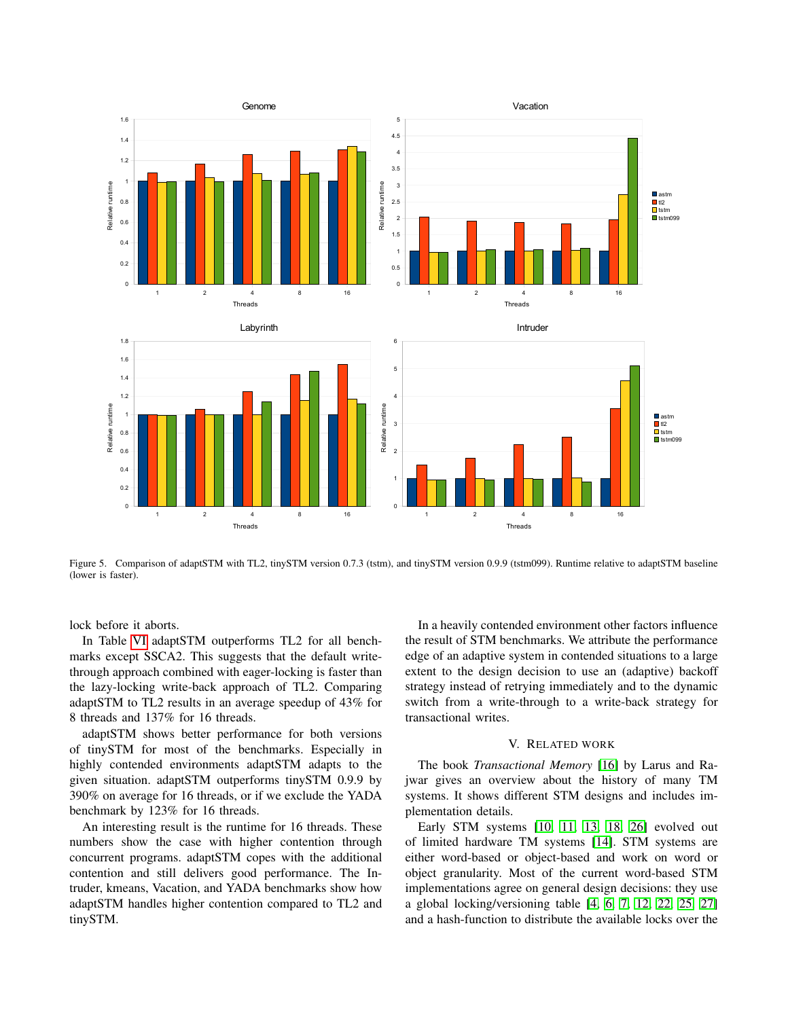

<span id="page-7-1"></span>Figure 5. Comparison of adaptSTM with TL2, tinySTM version 0.7.3 (tstm), and tinySTM version 0.9.9 (tstm099). Runtime relative to adaptSTM baseline (lower is faster).

lock before it aborts.

In Table [VI](#page-8-1) adaptSTM outperforms TL2 for all benchmarks except SSCA2. This suggests that the default writethrough approach combined with eager-locking is faster than the lazy-locking write-back approach of TL2. Comparing adaptSTM to TL2 results in an average speedup of 43% for 8 threads and 137% for 16 threads.

adaptSTM shows better performance for both versions of tinySTM for most of the benchmarks. Especially in highly contended environments adaptSTM adapts to the given situation. adaptSTM outperforms tinySTM 0.9.9 by 390% on average for 16 threads, or if we exclude the YADA benchmark by 123% for 16 threads.

An interesting result is the runtime for 16 threads. These numbers show the case with higher contention through concurrent programs. adaptSTM copes with the additional contention and still delivers good performance. The Intruder, kmeans, Vacation, and YADA benchmarks show how adaptSTM handles higher contention compared to TL2 and tinySTM.

In a heavily contended environment other factors influence the result of STM benchmarks. We attribute the performance edge of an adaptive system in contended situations to a large extent to the design decision to use an (adaptive) backoff strategy instead of retrying immediately and to the dynamic switch from a write-through to a write-back strategy for transactional writes.

## V. RELATED WORK

<span id="page-7-0"></span>The book *Transactional Memory* [\[16\]](#page-9-11) by Larus and Rajwar gives an overview about the history of many TM systems. It shows different STM designs and includes implementation details.

Early STM systems [\[10,](#page-9-12) [11,](#page-9-13) [13,](#page-9-2) [18,](#page-9-14) [26\]](#page-9-15) evolved out of limited hardware TM systems [\[14\]](#page-9-16). STM systems are either word-based or object-based and work on word or object granularity. Most of the current word-based STM implementations agree on general design decisions: they use a global locking/versioning table [\[4,](#page-9-17) [6,](#page-9-18) [7,](#page-9-19) [12,](#page-9-20) [22,](#page-9-21) [25,](#page-9-8) [27\]](#page-9-22) and a hash-function to distribute the available locks over the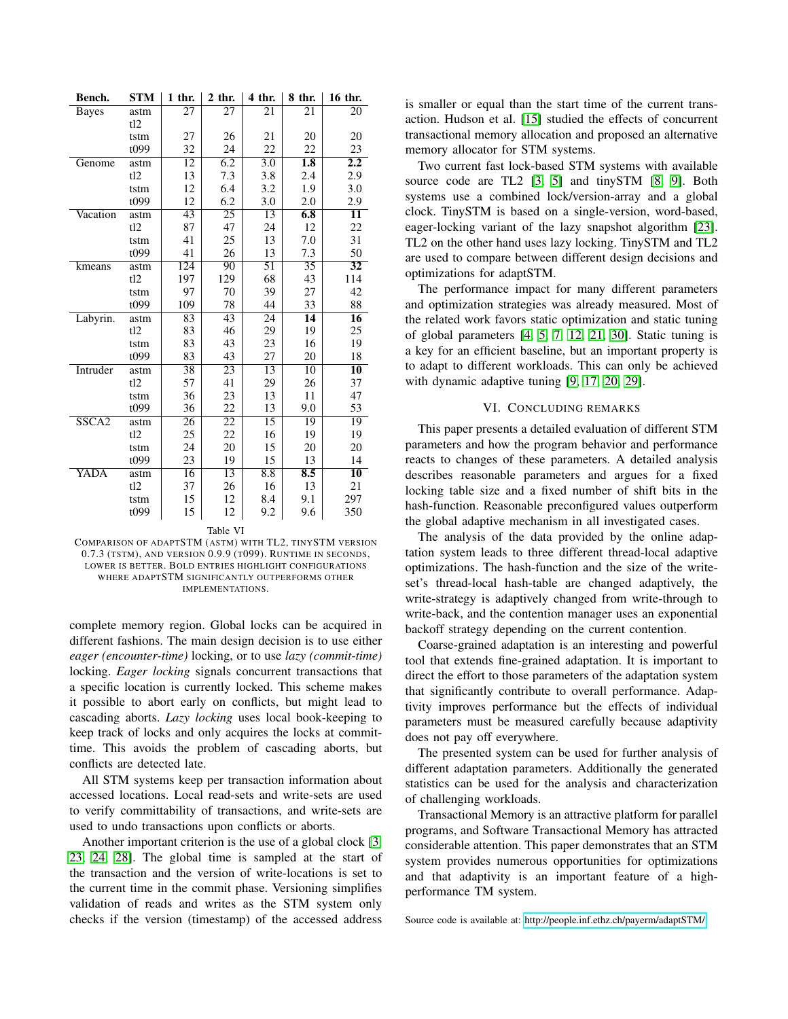| Bench.            | <b>STM</b> | $1$ thr.        | $2$ thr.        | 4 thr.          | 8 thr.          | 16 thr.         |
|-------------------|------------|-----------------|-----------------|-----------------|-----------------|-----------------|
| <b>Bayes</b>      | astm       | $\overline{27}$ | $\overline{27}$ | $\overline{21}$ | $\overline{21}$ | 20              |
|                   | tl2        |                 |                 |                 |                 |                 |
|                   | tstm       | 27              | 26              | 21              | 20              | 20              |
|                   | t099       | 32              | 24              | 22              | 22              | 23              |
| Genome            | astm       | 12              | 6.2             | 3.0             | 1.8             | 2.2             |
|                   | tl2        | 13              | 7.3             | 3.8             | 2.4             | 2.9             |
|                   | tstm       | 12              | 6.4             | 3.2             | 1.9             | 3.0             |
|                   | t099       | 12              | 6.2             | 3.0             | 2.0             | 2.9             |
| Vacation          | astm       | 43              | 25              | 13              | 6.8             | 11              |
|                   | tl2        | 87              | 47              | 24              | 12              | 22              |
|                   | tstm       | 41              | 25              | 13              | 7.0             | 31              |
|                   | t099       | 41              | 26              | 13              | 7.3             | 50              |
| kmeans            | astm       | 124             | 90              | $\overline{51}$ | $\overline{35}$ | 32              |
|                   | tl2        | 197             | 129             | 68              | 43              | 114             |
|                   | tstm       | 97              | 70              | 39              | 27              | 42              |
|                   | t099       | 109             | 78              | 44              | 33              | 88              |
| Labyrin.          | astm       | 83              | 43              | 24              | 14              | 16              |
|                   | tl2        | 83              | 46              | 29              | 19              | 25              |
|                   | tstm       | 83              | 43              | 23              | 16              | 19              |
|                   | t099       | 83              | 43              | 27              | 20              | 18              |
| <b>Intruder</b>   | astm       | $\overline{38}$ | $\overline{23}$ | $\overline{13}$ | 10              | $\overline{10}$ |
|                   | tl2        | 57              | 41              | 29              | 26              | 37              |
|                   | tstm       | 36              | 23              | 13              | 11              | 47              |
|                   | t099       | 36              | 22              | 13              | 9.0             | 53              |
| SSCA <sub>2</sub> | astm       | 26              | $\overline{22}$ | 15              | 19              | 19              |
|                   | tl2        | 25              | 22              | 16              | 19              | 19              |
|                   | tstm       | 24              | 20              | 15              | 20              | 20              |
|                   | t099       | 23              | 19              | 15              | 13              | 14              |
| YADA              | astm       | 16              | 13              | 8.8             | 8.5             | 10              |
|                   | tl2        | 37              | 26              | 16              | 13              | 21              |
|                   | tstm       | 15              | 12              | 8.4             | 9.1             | 297             |
|                   | t099       | 15              | 12              | 9.2             | 9.6             | 350             |

Table VI

<span id="page-8-1"></span>COMPARISON OF ADAPTSTM (ASTM) WITH TL2, TINYSTM VERSION 0.7.3 (TSTM), AND VERSION 0.9.9 (T099). RUNTIME IN SECONDS, LOWER IS BETTER. BOLD ENTRIES HIGHLIGHT CONFIGURATIONS WHERE ADAPTSTM SIGNIFICANTLY OUTPERFORMS OTHER IMPLEMENTATIONS.

complete memory region. Global locks can be acquired in different fashions. The main design decision is to use either *eager (encounter-time)* locking, or to use *lazy (commit-time)* locking. *Eager locking* signals concurrent transactions that a specific location is currently locked. This scheme makes it possible to abort early on conflicts, but might lead to cascading aborts. *Lazy locking* uses local book-keeping to keep track of locks and only acquires the locks at committime. This avoids the problem of cascading aborts, but conflicts are detected late.

All STM systems keep per transaction information about accessed locations. Local read-sets and write-sets are used to verify committability of transactions, and write-sets are used to undo transactions upon conflicts or aborts.

Another important criterion is the use of a global clock [\[3,](#page-9-23) [23,](#page-9-24) [24,](#page-9-25) [28\]](#page-9-26). The global time is sampled at the start of the transaction and the version of write-locations is set to the current time in the commit phase. Versioning simplifies validation of reads and writes as the STM system only checks if the version (timestamp) of the accessed address is smaller or equal than the start time of the current transaction. Hudson et al. [\[15\]](#page-9-27) studied the effects of concurrent transactional memory allocation and proposed an alternative memory allocator for STM systems.

Two current fast lock-based STM systems with available source code are TL2 [\[3,](#page-9-23) [5\]](#page-9-10) and tinySTM [\[8,](#page-9-3) [9\]](#page-9-4). Both systems use a combined lock/version-array and a global clock. TinySTM is based on a single-version, word-based, eager-locking variant of the lazy snapshot algorithm [\[23\]](#page-9-24). TL2 on the other hand uses lazy locking. TinySTM and TL2 are used to compare between different design decisions and optimizations for adaptSTM.

The performance impact for many different parameters and optimization strategies was already measured. Most of the related work favors static optimization and static tuning of global parameters [\[4,](#page-9-17) [5,](#page-9-10) [7,](#page-9-19) [12,](#page-9-20) [21,](#page-9-28) [30\]](#page-9-29). Static tuning is a key for an efficient baseline, but an important property is to adapt to different workloads. This can only be achieved with dynamic adaptive tuning [\[9,](#page-9-4) [17,](#page-9-1) [20,](#page-9-6) [29\]](#page-9-5).

### VI. CONCLUDING REMARKS

<span id="page-8-0"></span>This paper presents a detailed evaluation of different STM parameters and how the program behavior and performance reacts to changes of these parameters. A detailed analysis describes reasonable parameters and argues for a fixed locking table size and a fixed number of shift bits in the hash-function. Reasonable preconfigured values outperform the global adaptive mechanism in all investigated cases.

The analysis of the data provided by the online adaptation system leads to three different thread-local adaptive optimizations. The hash-function and the size of the writeset's thread-local hash-table are changed adaptively, the write-strategy is adaptively changed from write-through to write-back, and the contention manager uses an exponential backoff strategy depending on the current contention.

Coarse-grained adaptation is an interesting and powerful tool that extends fine-grained adaptation. It is important to direct the effort to those parameters of the adaptation system that significantly contribute to overall performance. Adaptivity improves performance but the effects of individual parameters must be measured carefully because adaptivity does not pay off everywhere.

The presented system can be used for further analysis of different adaptation parameters. Additionally the generated statistics can be used for the analysis and characterization of challenging workloads.

Transactional Memory is an attractive platform for parallel programs, and Software Transactional Memory has attracted considerable attention. This paper demonstrates that an STM system provides numerous opportunities for optimizations and that adaptivity is an important feature of a highperformance TM system.

Source code is available at:<http://people.inf.ethz.ch/payerm/adaptSTM/>